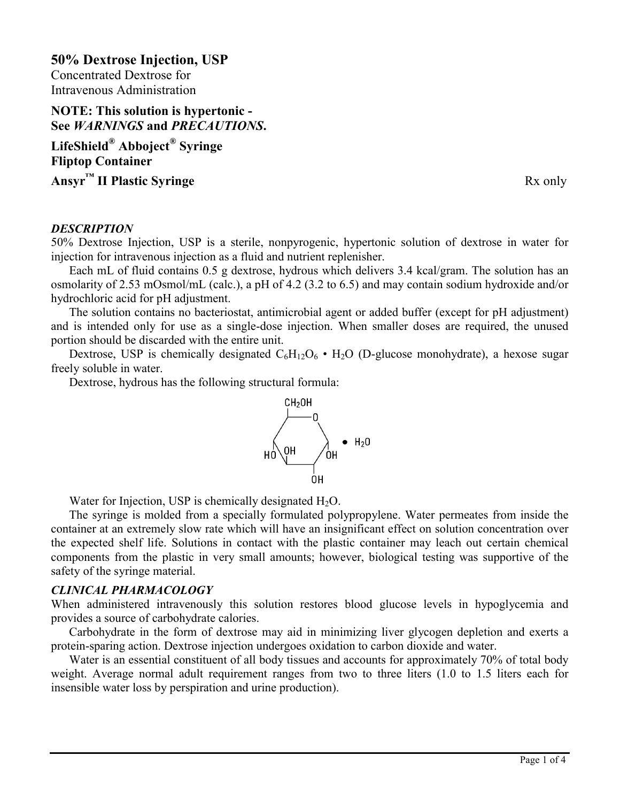**50% Dextrose Injection, USP** Concentrated Dextrose for Intravenous Administration

# **NOTE: This solution is hypertonic - See** *WARNINGS* **and** *PRECAUTIONS***.**

**LifeShield® Abboject® Syringe Fliptop Container Ansyr<sup>™</sup> II Plastic Syringe** Rx only

#### *DESCRIPTION*

50% Dextrose Injection, USP is a sterile, nonpyrogenic, hypertonic solution of dextrose in water for injection for intravenous injection as a fluid and nutrient replenisher.

Each mL of fluid contains 0.5 g dextrose, hydrous which delivers 3.4 kcal/gram. The solution has an osmolarity of 2.53 mOsmol/mL (calc.), a pH of 4.2 (3.2 to 6.5) and may contain sodium hydroxide and/or hydrochloric acid for pH adjustment.

The solution contains no bacteriostat, antimicrobial agent or added buffer (except for pH adjustment) and is intended only for use as a single-dose injection. When smaller doses are required, the unused portion should be discarded with the entire unit.

Dextrose, USP is chemically designated  $C_6H_{12}O_6$  •  $H_2O$  (D-glucose monohydrate), a hexose sugar freely soluble in water.

Dextrose, hydrous has the following structural formula:



Water for Injection, USP is chemically designated  $H_2O$ .

The syringe is molded from a specially formulated polypropylene. Water permeates from inside the container at an extremely slow rate which will have an insignificant effect on solution concentration over the expected shelf life. Solutions in contact with the plastic container may leach out certain chemical components from the plastic in very small amounts; however, biological testing was supportive of the safety of the syringe material.

#### *CLINICAL PHARMACOLOGY*

When administered intravenously this solution restores blood glucose levels in hypoglycemia and provides a source of carbohydrate calories.

Carbohydrate in the form of dextrose may aid in minimizing liver glycogen depletion and exerts a protein-sparing action. Dextrose injection undergoes oxidation to carbon dioxide and water.

Water is an essential constituent of all body tissues and accounts for approximately 70% of total body weight. Average normal adult requirement ranges from two to three liters (1.0 to 1.5 liters each for insensible water loss by perspiration and urine production).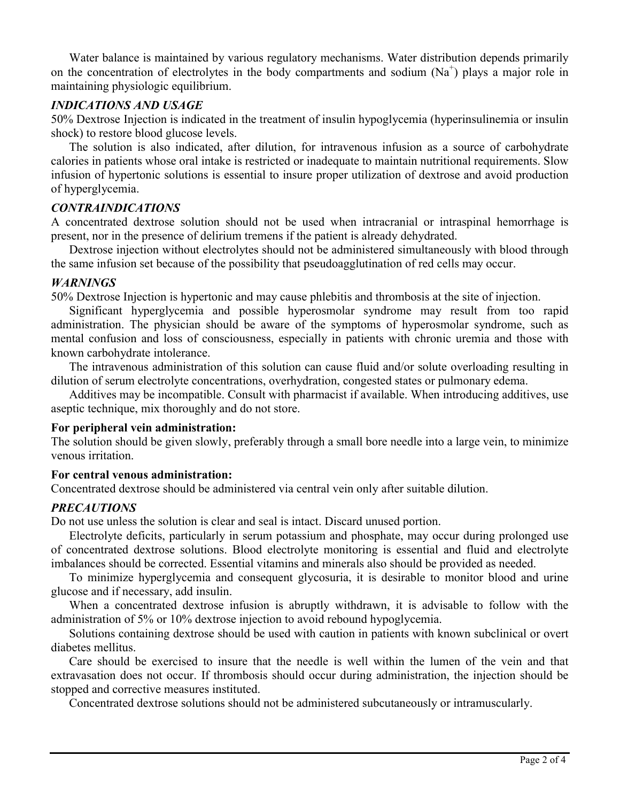Water balance is maintained by various regulatory mechanisms. Water distribution depends primarily on the concentration of electrolytes in the body compartments and sodium  $(Na^+)$  plays a major role in maintaining physiologic equilibrium.

# *INDICATIONS AND USAGE*

50% Dextrose Injection is indicated in the treatment of insulin hypoglycemia (hyperinsulinemia or insulin shock) to restore blood glucose levels.

The solution is also indicated, after dilution, for intravenous infusion as a source of carbohydrate calories in patients whose oral intake is restricted or inadequate to maintain nutritional requirements. Slow infusion of hypertonic solutions is essential to insure proper utilization of dextrose and avoid production of hyperglycemia.

# *CONTRAINDICATIONS*

A concentrated dextrose solution should not be used when intracranial or intraspinal hemorrhage is present, nor in the presence of delirium tremens if the patient is already dehydrated.

Dextrose injection without electrolytes should not be administered simultaneously with blood through the same infusion set because of the possibility that pseudoagglutination of red cells may occur.

#### *WARNINGS*

50% Dextrose Injection is hypertonic and may cause phlebitis and thrombosis at the site of injection.

Significant hyperglycemia and possible hyperosmolar syndrome may result from too rapid administration. The physician should be aware of the symptoms of hyperosmolar syndrome, such as mental confusion and loss of consciousness, especially in patients with chronic uremia and those with known carbohydrate intolerance.

The intravenous administration of this solution can cause fluid and/or solute overloading resulting in dilution of serum electrolyte concentrations, overhydration, congested states or pulmonary edema.

Additives may be incompatible. Consult with pharmacist if available. When introducing additives, use aseptic technique, mix thoroughly and do not store.

# **For peripheral vein administration:**

The solution should be given slowly, preferably through a small bore needle into a large vein, to minimize venous irritation.

# **For central venous administration:**

Concentrated dextrose should be administered via central vein only after suitable dilution.

# *PRECAUTIONS*

Do not use unless the solution is clear and seal is intact. Discard unused portion.

Electrolyte deficits, particularly in serum potassium and phosphate, may occur during prolonged use of concentrated dextrose solutions. Blood electrolyte monitoring is essential and fluid and electrolyte imbalances should be corrected. Essential vitamins and minerals also should be provided as needed.

To minimize hyperglycemia and consequent glycosuria, it is desirable to monitor blood and urine glucose and if necessary, add insulin.

When a concentrated dextrose infusion is abruptly withdrawn, it is advisable to follow with the administration of 5% or 10% dextrose injection to avoid rebound hypoglycemia.

Solutions containing dextrose should be used with caution in patients with known subclinical or overt diabetes mellitus.

Care should be exercised to insure that the needle is well within the lumen of the vein and that extravasation does not occur. If thrombosis should occur during administration, the injection should be stopped and corrective measures instituted.

Concentrated dextrose solutions should not be administered subcutaneously or intramuscularly.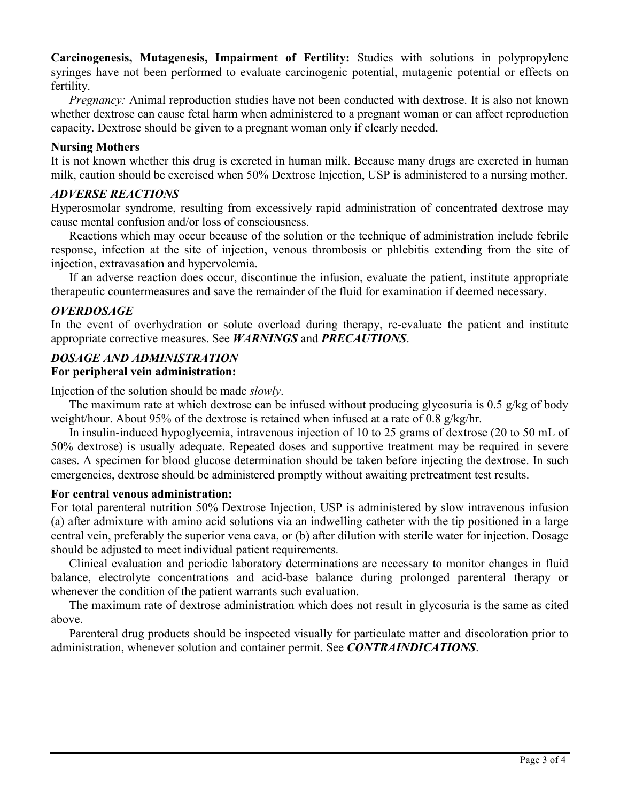**Carcinogenesis, Mutagenesis, Impairment of Fertility:** Studies with solutions in polypropylene syringes have not been performed to evaluate carcinogenic potential, mutagenic potential or effects on fertility.

*Pregnancy:* Animal reproduction studies have not been conducted with dextrose. It is also not known whether dextrose can cause fetal harm when administered to a pregnant woman or can affect reproduction capacity. Dextrose should be given to a pregnant woman only if clearly needed.

#### **Nursing Mothers**

It is not known whether this drug is excreted in human milk. Because many drugs are excreted in human milk, caution should be exercised when 50% Dextrose Injection, USP is administered to a nursing mother.

#### *ADVERSE REACTIONS*

Hyperosmolar syndrome, resulting from excessively rapid administration of concentrated dextrose may cause mental confusion and/or loss of consciousness.

Reactions which may occur because of the solution or the technique of administration include febrile response, infection at the site of injection, venous thrombosis or phlebitis extending from the site of injection, extravasation and hypervolemia.

If an adverse reaction does occur, discontinue the infusion, evaluate the patient, institute appropriate therapeutic countermeasures and save the remainder of the fluid for examination if deemed necessary.

# *OVERDOSAGE*

In the event of overhydration or solute overload during therapy, re-evaluate the patient and institute appropriate corrective measures. See *WARNINGS* and *PRECAUTIONS*.

# *DOSAGE AND ADMINISTRATION*

#### **For peripheral vein administration:**

Injection of the solution should be made *slowly*.

The maximum rate at which dextrose can be infused without producing glycosuria is 0.5 g/kg of body weight/hour. About 95% of the dextrose is retained when infused at a rate of 0.8  $g/kg/hr$ .

In insulin-induced hypoglycemia, intravenous injection of 10 to 25 grams of dextrose (20 to 50 mL of 50% dextrose) is usually adequate. Repeated doses and supportive treatment may be required in severe cases. A specimen for blood glucose determination should be taken before injecting the dextrose. In such emergencies, dextrose should be administered promptly without awaiting pretreatment test results.

#### **For central venous administration:**

For total parenteral nutrition 50% Dextrose Injection, USP is administered by slow intravenous infusion (a) after admixture with amino acid solutions via an indwelling catheter with the tip positioned in a large central vein, preferably the superior vena cava, or (b) after dilution with sterile water for injection. Dosage should be adjusted to meet individual patient requirements.

Clinical evaluation and periodic laboratory determinations are necessary to monitor changes in fluid balance, electrolyte concentrations and acid-base balance during prolonged parenteral therapy or whenever the condition of the patient warrants such evaluation.

The maximum rate of dextrose administration which does not result in glycosuria is the same as cited above.

Parenteral drug products should be inspected visually for particulate matter and discoloration prior to administration, whenever solution and container permit. See *CONTRAINDICATIONS*.